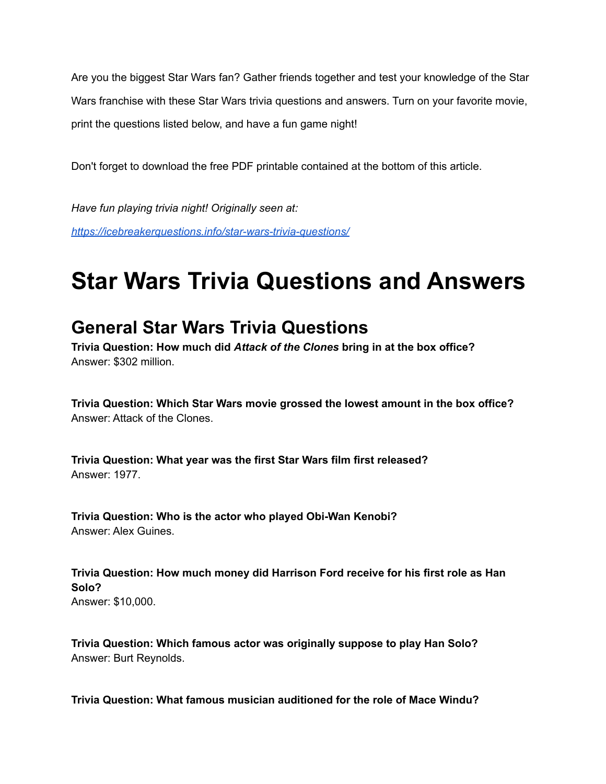Are you the biggest Star Wars fan? Gather friends together and test your knowledge of the Star Wars franchise with these Star Wars trivia questions and answers. Turn on your favorite movie, print the questions listed below, and have a fun game night!

Don't forget to download the free PDF printable contained at the bottom of this article.

*Have fun playing trivia night! Originally seen at: <https://icebreakerquestions.info/star-wars-trivia-questions/>*

# **Star Wars Trivia Questions and Answers**

# **General Star Wars Trivia Questions**

**Trivia Question: How much did** *Attack of the Clones* **bring in at the box office?** Answer: \$302 million.

**Trivia Question: Which Star Wars movie grossed the lowest amount in the box office?** Answer: Attack of the Clones.

**Trivia Question: What year was the first Star Wars film first released?** Answer: 1977.

**Trivia Question: Who is the actor who played Obi-Wan Kenobi?** Answer: Alex Guines.

**Trivia Question: How much money did Harrison Ford receive for his first role as Han Solo?** Answer: \$10,000.

**Trivia Question: Which famous actor was originally suppose to play Han Solo?** Answer: Burt Reynolds.

**Trivia Question: What famous musician auditioned for the role of Mace Windu?**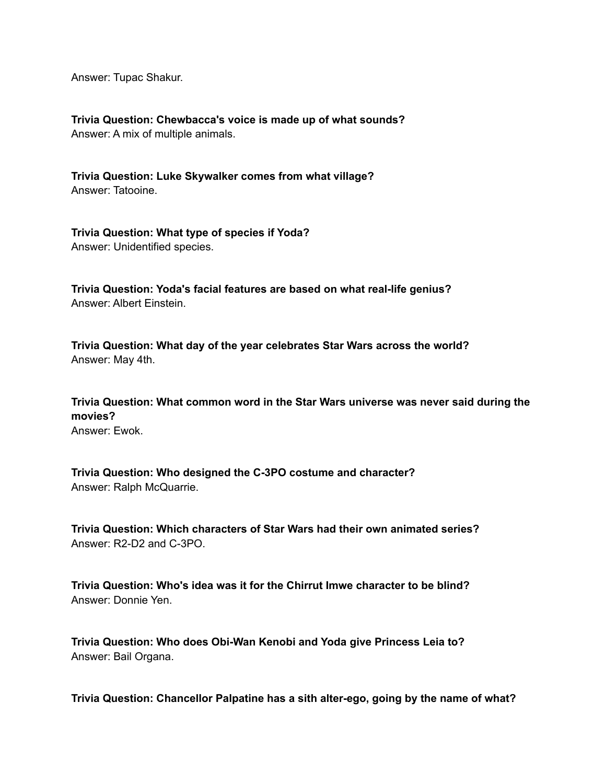Answer: Tupac Shakur.

**Trivia Question: Chewbacca's voice is made up of what sounds?** Answer: A mix of multiple animals.

**Trivia Question: Luke Skywalker comes from what village?** Answer: Tatooine.

**Trivia Question: What type of species if Yoda?** Answer: Unidentified species.

**Trivia Question: Yoda's facial features are based on what real-life genius?** Answer: Albert Einstein.

**Trivia Question: What day of the year celebrates Star Wars across the world?** Answer: May 4th.

**Trivia Question: What common word in the Star Wars universe was never said during the movies?** Answer: Ewok.

**Trivia Question: Who designed the C-3PO costume and character?** Answer: Ralph McQuarrie.

**Trivia Question: Which characters of Star Wars had their own animated series?** Answer: R2-D2 and C-3PO.

**Trivia Question: Who's idea was it for the Chirrut Imwe character to be blind?** Answer: Donnie Yen.

**Trivia Question: Who does Obi-Wan Kenobi and Yoda give Princess Leia to?** Answer: Bail Organa.

**Trivia Question: Chancellor Palpatine has a sith alter-ego, going by the name of what?**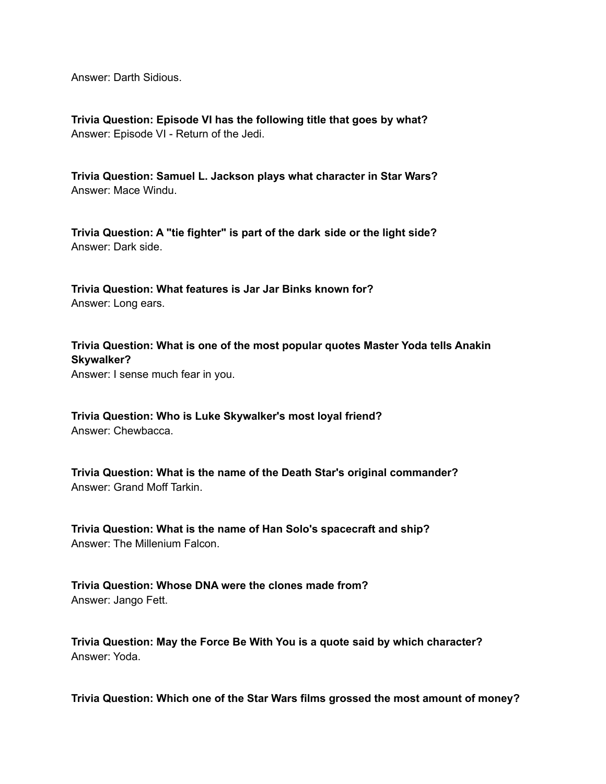Answer: Darth Sidious.

**Trivia Question: Episode VI has the following title that goes by what?** Answer: Episode VI - Return of the Jedi.

**Trivia Question: Samuel L. Jackson plays what character in Star Wars?** Answer: Mace Windu.

**Trivia Question: A "tie fighter" is part of the dark side or the light side?** Answer: Dark side.

**Trivia Question: What features is Jar Jar Binks known for?** Answer: Long ears.

**Trivia Question: What is one of the most popular quotes Master Yoda tells Anakin Skywalker?** Answer: I sense much fear in you.

**Trivia Question: Who is Luke Skywalker's most loyal friend?** Answer: Chewbacca.

**Trivia Question: What is the name of the Death Star's original commander?** Answer: Grand Moff Tarkin.

**Trivia Question: What is the name of Han Solo's spacecraft and ship?** Answer: The Millenium Falcon.

**Trivia Question: Whose DNA were the clones made from?** Answer: Jango Fett.

**Trivia Question: May the Force Be With You is a quote said by which character?** Answer: Yoda.

**Trivia Question: Which one of the Star Wars films grossed the most amount of money?**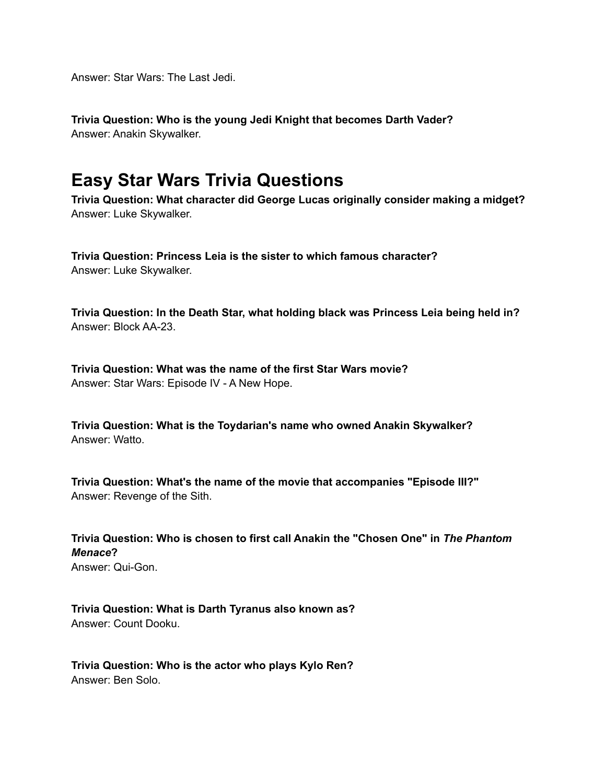Answer: Star Wars: The Last Jedi.

**Trivia Question: Who is the young Jedi Knight that becomes Darth Vader?** Answer: Anakin Skywalker.

# **Easy Star Wars Trivia Questions**

**Trivia Question: What character did George Lucas originally consider making a midget?** Answer: Luke Skywalker.

**Trivia Question: Princess Leia is the sister to which famous character?** Answer: Luke Skywalker.

**Trivia Question: In the Death Star, what holding black was Princess Leia being held in?** Answer: Block AA-23.

**Trivia Question: What was the name of the first Star Wars movie?** Answer: Star Wars: Episode IV - A New Hope.

**Trivia Question: What is the Toydarian's name who owned Anakin Skywalker?** Answer: Watto.

**Trivia Question: What's the name of the movie that accompanies "Episode III?"** Answer: Revenge of the Sith.

**Trivia Question: Who is chosen to first call Anakin the "Chosen One" in** *The Phantom Menace***?** Answer: Qui-Gon.

**Trivia Question: What is Darth Tyranus also known as?** Answer: Count Dooku.

**Trivia Question: Who is the actor who plays Kylo Ren?** Answer: Ben Solo.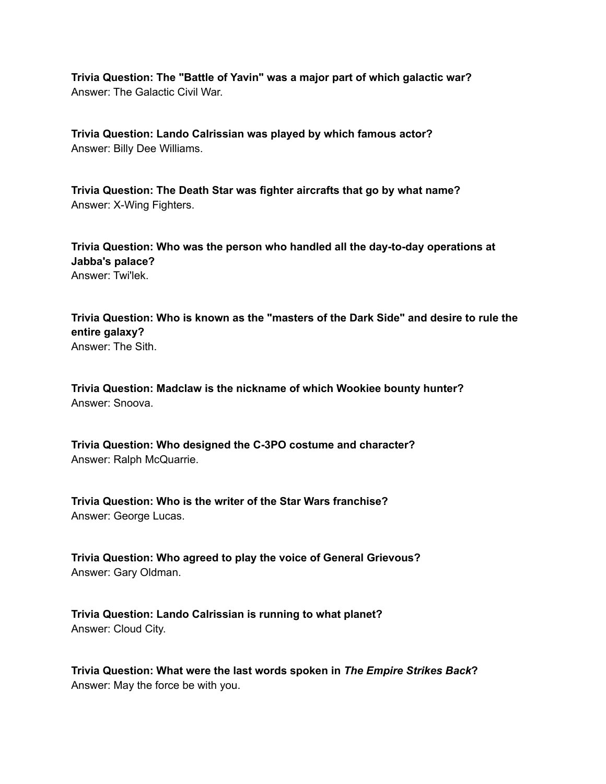**Trivia Question: The "Battle of Yavin" was a major part of which galactic war?** Answer: The Galactic Civil War.

**Trivia Question: Lando Calrissian was played by which famous actor?** Answer: Billy Dee Williams.

**Trivia Question: The Death Star was fighter aircrafts that go by what name?** Answer: X-Wing Fighters.

**Trivia Question: Who was the person who handled all the day-to-day operations at Jabba's palace?** Answer: Twi'lek.

**Trivia Question: Who is known as the "masters of the Dark Side" and desire to rule the entire galaxy?** Answer: The Sith.

**Trivia Question: Madclaw is the nickname of which Wookiee bounty hunter?** Answer: Snoova.

**Trivia Question: Who designed the C-3PO costume and character?** Answer: Ralph McQuarrie.

**Trivia Question: Who is the writer of the Star Wars franchise?** Answer: George Lucas.

**Trivia Question: Who agreed to play the voice of General Grievous?** Answer: Gary Oldman.

**Trivia Question: Lando Calrissian is running to what planet?** Answer: Cloud City.

**Trivia Question: What were the last words spoken in** *The Empire Strikes Back***?** Answer: May the force be with you.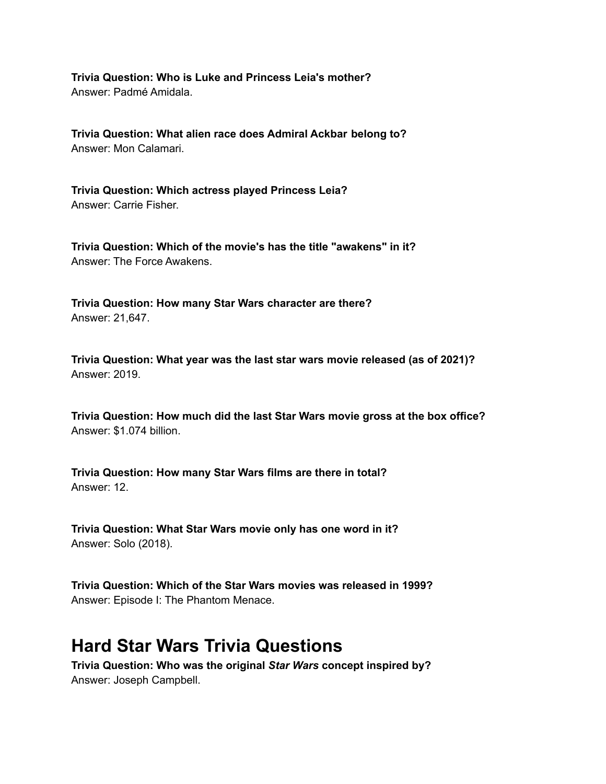**Trivia Question: Who is Luke and Princess Leia's mother?** Answer: Padmé Amidala.

**Trivia Question: What alien race does Admiral Ackbar belong to?** Answer: Mon Calamari.

**Trivia Question: Which actress played Princess Leia?** Answer: Carrie Fisher.

**Trivia Question: Which of the movie's has the title "awakens" in it?** Answer: The Force Awakens.

**Trivia Question: How many Star Wars character are there?** Answer: 21,647.

**Trivia Question: What year was the last star wars movie released (as of 2021)?** Answer: 2019.

**Trivia Question: How much did the last Star Wars movie gross at the box office?** Answer: \$1.074 billion.

**Trivia Question: How many Star Wars films are there in total?** Answer: 12.

**Trivia Question: What Star Wars movie only has one word in it?** Answer: Solo (2018).

**Trivia Question: Which of the Star Wars movies was released in 1999?** Answer: Episode I: The Phantom Menace.

### **Hard Star Wars Trivia Questions**

**Trivia Question: Who was the original** *Star Wars* **concept inspired by?** Answer: Joseph Campbell.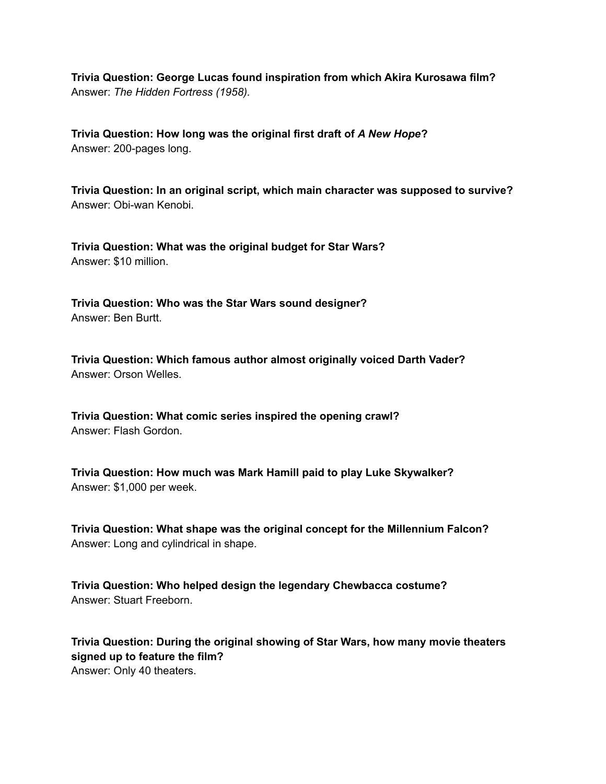**Trivia Question: George Lucas found inspiration from which Akira Kurosawa film?** Answer: *The Hidden Fortress (1958).*

**Trivia Question: How long was the original first draft of** *A New Hope***?** Answer: 200-pages long.

**Trivia Question: In an original script, which main character was supposed to survive?** Answer: Obi-wan Kenobi.

**Trivia Question: What was the original budget for Star Wars?** Answer: \$10 million.

**Trivia Question: Who was the Star Wars sound designer?** Answer: Ben Burtt.

**Trivia Question: Which famous author almost originally voiced Darth Vader?** Answer: Orson Welles.

**Trivia Question: What comic series inspired the opening crawl?** Answer: Flash Gordon.

**Trivia Question: How much was Mark Hamill paid to play Luke Skywalker?** Answer: \$1,000 per week.

**Trivia Question: What shape was the original concept for the Millennium Falcon?** Answer: Long and cylindrical in shape.

**Trivia Question: Who helped design the legendary Chewbacca costume?** Answer: Stuart Freeborn.

**Trivia Question: During the original showing of Star Wars, how many movie theaters signed up to feature the film?** Answer: Only 40 theaters.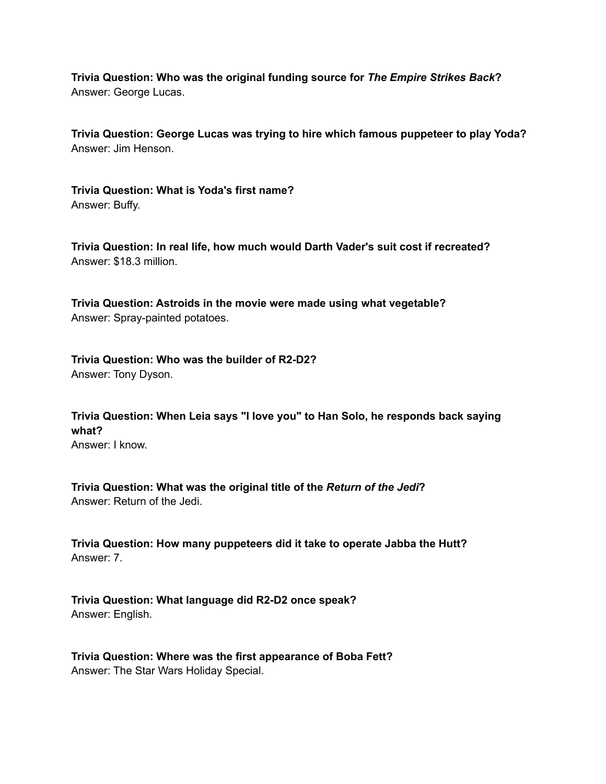**Trivia Question: Who was the original funding source for** *The Empire Strikes Back***?** Answer: George Lucas.

**Trivia Question: George Lucas was trying to hire which famous puppeteer to play Yoda?** Answer: Jim Henson.

**Trivia Question: What is Yoda's first name?** Answer: Buffy.

**Trivia Question: In real life, how much would Darth Vader's suit cost if recreated?** Answer: \$18.3 million.

**Trivia Question: Astroids in the movie were made using what vegetable?** Answer: Spray-painted potatoes.

**Trivia Question: Who was the builder of R2-D2?** Answer: Tony Dyson.

**Trivia Question: When Leia says "I love you" to Han Solo, he responds back saying what?** Answer: I know.

**Trivia Question: What was the original title of the** *Return of the Jedi***?** Answer: Return of the Jedi.

**Trivia Question: How many puppeteers did it take to operate Jabba the Hutt?** Answer: 7.

**Trivia Question: What language did R2-D2 once speak?** Answer: English.

**Trivia Question: Where was the first appearance of Boba Fett?** Answer: The Star Wars Holiday Special.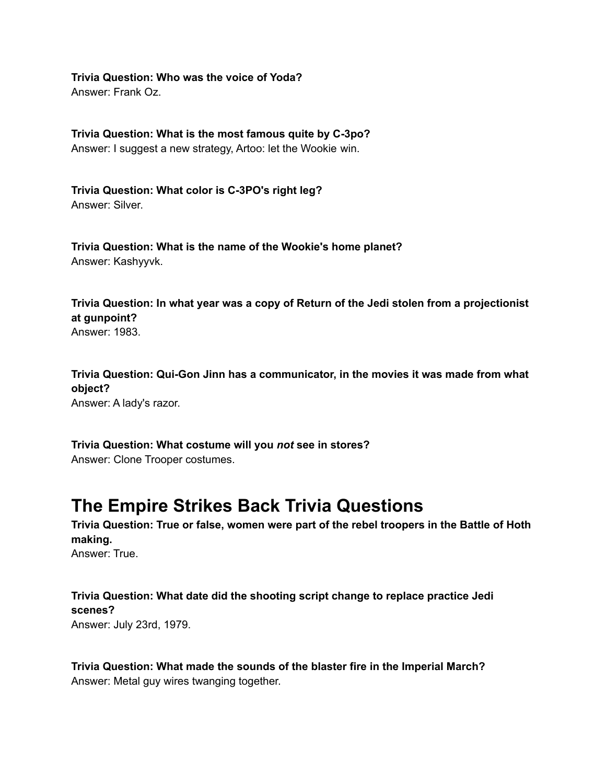**Trivia Question: Who was the voice of Yoda?** Answer: Frank Oz.

**Trivia Question: What is the most famous quite by C-3po?** Answer: I suggest a new strategy, Artoo: let the Wookie win.

**Trivia Question: What color is C-3PO's right leg?** Answer: Silver.

**Trivia Question: What is the name of the Wookie's home planet?** Answer: Kashyyvk.

**Trivia Question: In what year was a copy of Return of the Jedi stolen from a projectionist at gunpoint?**

Answer: 1983.

**Trivia Question: Qui-Gon Jinn has a communicator, in the movies it was made from what object?** Answer: A lady's razor.

**Trivia Question: What costume will you** *not* **see in stores?** Answer: Clone Trooper costumes.

# **The Empire Strikes Back Trivia Questions**

**Trivia Question: True or false, women were part of the rebel troopers in the Battle of Hoth making.** Answer: True.

**Trivia Question: What date did the shooting script change to replace practice Jedi scenes?** Answer: July 23rd, 1979.

**Trivia Question: What made the sounds of the blaster fire in the Imperial March?** Answer: Metal guy wires twanging together.